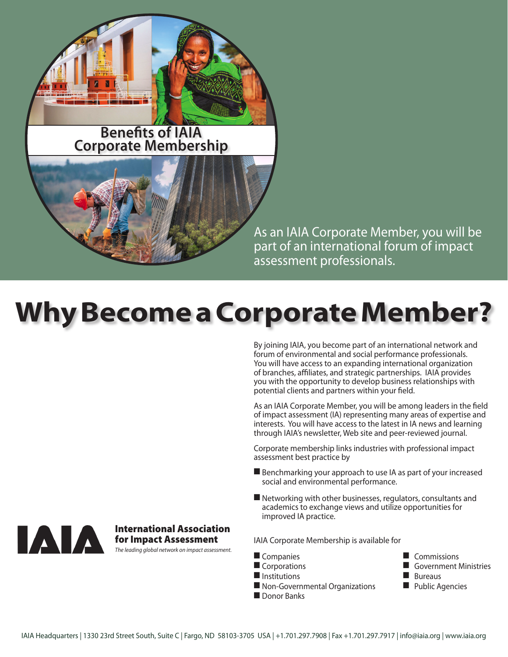

**Benefits of IAIA Corporate Membership**

> As an IAIA Corporate Member, you will be part of an international forum of impact assessment professionals.

# **Why Become a Corporate Member?**

By joining IAIA, you become part of an international network and forum of environmental and social performance professionals. You will have access to an expanding international organization of branches, affiliates, and strategic partnerships. IAIA provides you with the opportunity to develop business relationships with potential clients and partners within your field.

As an IAIA Corporate Member, you will be among leaders in the field of impact assessment (IA) representing many areas of expertise and interests. You will have access to the latest in IA news and learning through IAIA's newsletter, Web site and peer-reviewed journal.

Corporate membership links industries with professional impact assessment best practice by

- $\blacksquare$  Benchmarking your approach to use IA as part of your increased social and environmental performance.
- $\blacksquare$  Networking with other businesses, regulators, consultants and academics to exchange views and utilize opportunities for improved IA practice.

IAIA Corporate Membership is available for

**n** Companies **n Commissions** 

- 
- $\blacksquare$  Institutions  $\blacksquare$  Bureaus
- $\blacksquare$  Non-Governmental Organizations  $\blacksquare$  Public Agencies
- Donor Banks
- 
- Corporations 2000 Decompositions 2000 Decompositions 2000 Decompositions 2000 Decompositions 2000 Decompositions 2000 Decompositions 2000 Decompositions 2000 Decompositions 2000 Decompositions 2000 Decompositions 2000 D
	-
	-



International Association for Impact Assessment

*The leading global network on impact assessment.*

IAIA Headquarters | 1330 23rd Street South, Suite C | Fargo, ND 58103-3705 USA | +1.701.297.7908 | Fax +1.701.297.7917 | info@iaia.org | www.iaia.org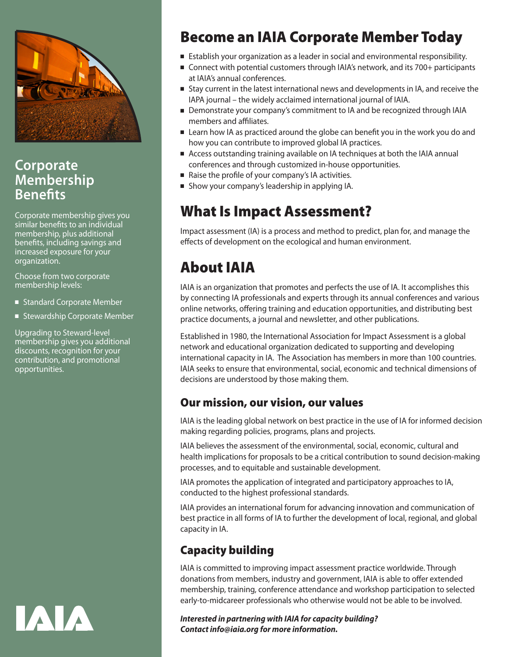

#### **Corporate Membership Benefits**

Corporate membership gives you similar benefits to an individual membership, plus additional benefits, including savings and increased exposure for your organization.

Choose from two corporate membership levels:

- Standard Corporate Member
- Stewardship Corporate Member

Upgrading to Steward-level membership gives you additional discounts, recognition for your contribution, and promotional opportunities.



# Become an IAIA Corporate Member Today

- **Establish your organization as a leader in social and environmental responsibility.**
- Connect with potential customers through IAIA's network, and its 700+ participants at IAIA's annual conferences.
- <sup>n</sup> Stay current in the latest international news and developments in IA, and receive the IAPA journal – the widely acclaimed international journal of IAIA.
- Demonstrate your company's commitment to IA and be recognized through IAIA members and affiliates.
- Learn how IA as practiced around the globe can benefit you in the work you do and how you can contribute to improved global IA practices.
- <sup>n</sup> Access outstanding training available on IA techniques at both the IAIA annual conferences and through customized in-house opportunities.
- $\blacksquare$  Raise the profile of your company's IA activities.
- **n** Show your company's leadership in applying IA.

### What Is Impact Assessment?

Impact assessment (IA) is a process and method to predict, plan for, and manage the effects of development on the ecological and human environment.

# About IAIA

IAIA is an organization that promotes and perfects the use of IA. It accomplishes this by connecting IA professionals and experts through its annual conferences and various online networks, offering training and education opportunities, and distributing best practice documents, a journal and newsletter, and other publications.

Established in 1980, the International Association for Impact Assessment is a global network and educational organization dedicated to supporting and developing international capacity in IA. The Association has members in more than 100 countries. IAIA seeks to ensure that environmental, social, economic and technical dimensions of decisions are understood by those making them.

#### Our mission, our vision, our values

IAIA is the leading global network on best practice in the use of IA for informed decision making regarding policies, programs, plans and projects.

IAIA believes the assessment of the environmental, social, economic, cultural and health implications for proposals to be a critical contribution to sound decision-making processes, and to equitable and sustainable development.

IAIA promotes the application of integrated and participatory approaches to IA, conducted to the highest professional standards.

IAIA provides an international forum for advancing innovation and communication of best practice in all forms of IA to further the development of local, regional, and global capacity in IA.

#### Capacity building

IAIA is committed to improving impact assessment practice worldwide. Through donations from members, industry and government, IAIA is able to offer extended membership, training, conference attendance and workshop participation to selected early-to-midcareer professionals who otherwise would not be able to be involved.

*Interested in partnering with IAIA for capacity building? Contact info@iaia.org for more information.*